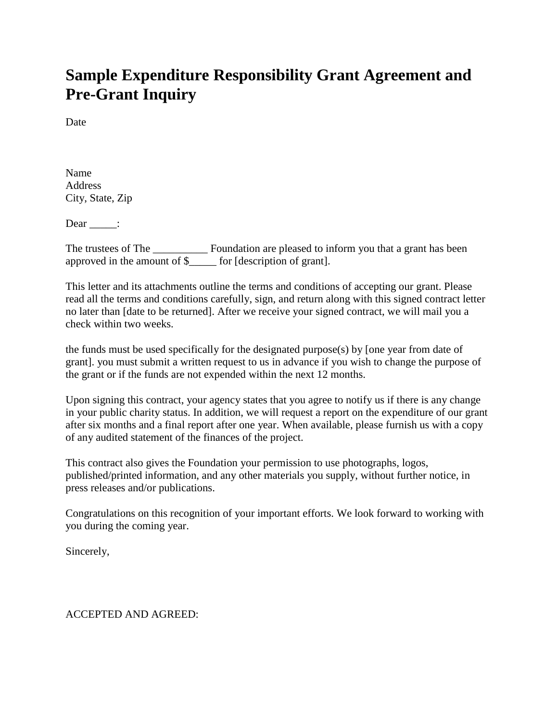# **Sample Expenditure Responsibility Grant Agreement and Pre-Grant Inquiry**

**Date** 

Name Address City, State, Zip

 $Dear$   $\qquad$  :

The trustees of The \_\_\_\_\_\_\_\_\_\_\_ Foundation are pleased to inform you that a grant has been approved in the amount of \$\_\_\_\_\_ for [description of grant].

This letter and its attachments outline the terms and conditions of accepting our grant. Please read all the terms and conditions carefully, sign, and return along with this signed contract letter no later than [date to be returned]. After we receive your signed contract, we will mail you a check within two weeks.

the funds must be used specifically for the designated purpose(s) by [one year from date of grant]. you must submit a written request to us in advance if you wish to change the purpose of the grant or if the funds are not expended within the next 12 months.

Upon signing this contract, your agency states that you agree to notify us if there is any change in your public charity status. In addition, we will request a report on the expenditure of our grant after six months and a final report after one year. When available, please furnish us with a copy of any audited statement of the finances of the project.

This contract also gives the Foundation your permission to use photographs, logos, published/printed information, and any other materials you supply, without further notice, in press releases and/or publications.

Congratulations on this recognition of your important efforts. We look forward to working with you during the coming year.

Sincerely,

## ACCEPTED AND AGREED: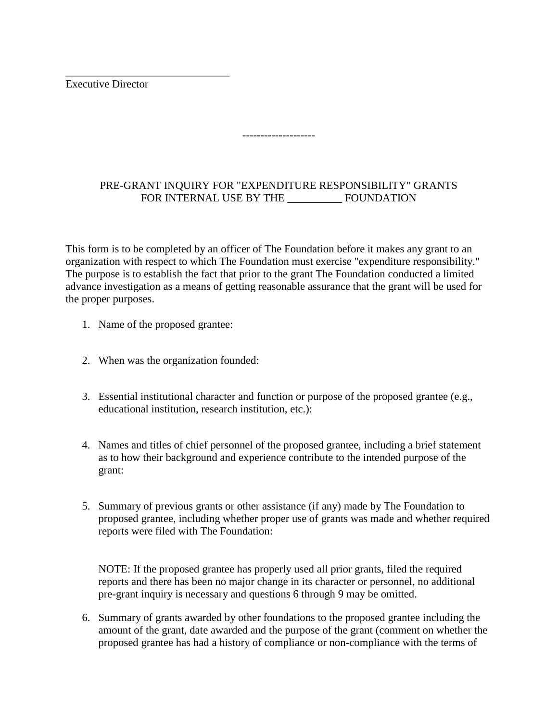Executive Director

\_\_\_\_\_\_\_\_\_\_\_\_\_\_\_\_\_\_\_\_\_\_\_\_\_\_\_\_\_\_

## PRE-GRANT INQUIRY FOR "EXPENDITURE RESPONSIBILITY" GRANTS FOR INTERNAL USE BY THE \_\_\_\_\_\_\_\_\_\_ FOUNDATION

--------------------

This form is to be completed by an officer of The Foundation before it makes any grant to an organization with respect to which The Foundation must exercise "expenditure responsibility." The purpose is to establish the fact that prior to the grant The Foundation conducted a limited advance investigation as a means of getting reasonable assurance that the grant will be used for the proper purposes.

- 1. Name of the proposed grantee:
- 2. When was the organization founded:
- 3. Essential institutional character and function or purpose of the proposed grantee (e.g., educational institution, research institution, etc.):
- 4. Names and titles of chief personnel of the proposed grantee, including a brief statement as to how their background and experience contribute to the intended purpose of the grant:
- 5. Summary of previous grants or other assistance (if any) made by The Foundation to proposed grantee, including whether proper use of grants was made and whether required reports were filed with The Foundation:

NOTE: If the proposed grantee has properly used all prior grants, filed the required reports and there has been no major change in its character or personnel, no additional pre-grant inquiry is necessary and questions 6 through 9 may be omitted.

6. Summary of grants awarded by other foundations to the proposed grantee including the amount of the grant, date awarded and the purpose of the grant (comment on whether the proposed grantee has had a history of compliance or non-compliance with the terms of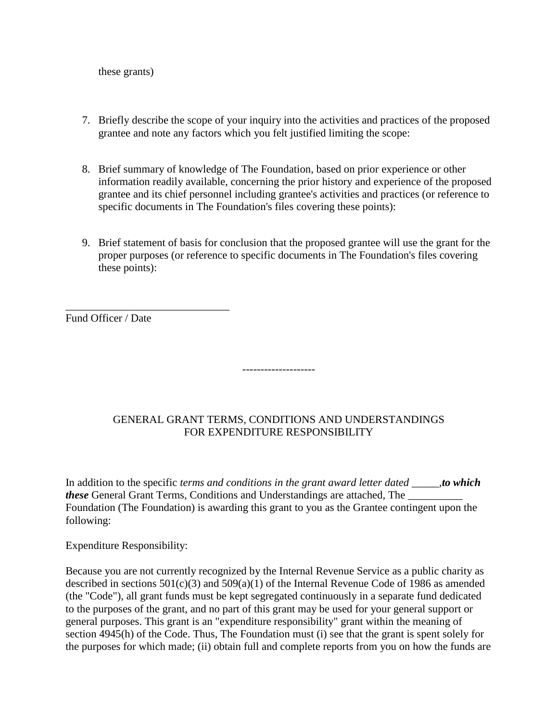these grants)

- 7. Briefly describe the scope of your inquiry into the activities and practices of the proposed grantee and note any factors which you felt justified limiting the scope:
- 8. Brief summary of knowledge of The Foundation, based on prior experience or other information readily available, concerning the prior history and experience of the proposed grantee and its chief personnel including grantee's activities and practices (or reference to specific documents in The Foundation's files covering these points):
- 9. Brief statement of basis for conclusion that the proposed grantee will use the grant for the proper purposes (or reference to specific documents in The Foundation's files covering these points):

Fund Officer / Date

\_\_\_\_\_\_\_\_\_\_\_\_\_\_\_\_\_\_\_\_\_\_\_\_\_\_\_\_\_\_

## GENERAL GRANT TERMS, CONDITIONS AND UNDERSTANDINGS FOR EXPENDITURE RESPONSIBILITY

--------------------

In addition to the specific *terms and conditions in the grant award letter dated \_\_\_\_\_,to which these* General Grant Terms, Conditions and Understandings are attached, The Foundation (The Foundation) is awarding this grant to you as the Grantee contingent upon the following:

Expenditure Responsibility:

Because you are not currently recognized by the Internal Revenue Service as a public charity as described in sections  $501(c)(3)$  and  $509(a)(1)$  of the Internal Revenue Code of 1986 as amended (the "Code"), all grant funds must be kept segregated continuously in a separate fund dedicated to the purposes of the grant, and no part of this grant may be used for your general support or general purposes. This grant is an "expenditure responsibility" grant within the meaning of section 4945(h) of the Code. Thus, The Foundation must (i) see that the grant is spent solely for the purposes for which made; (ii) obtain full and complete reports from you on how the funds are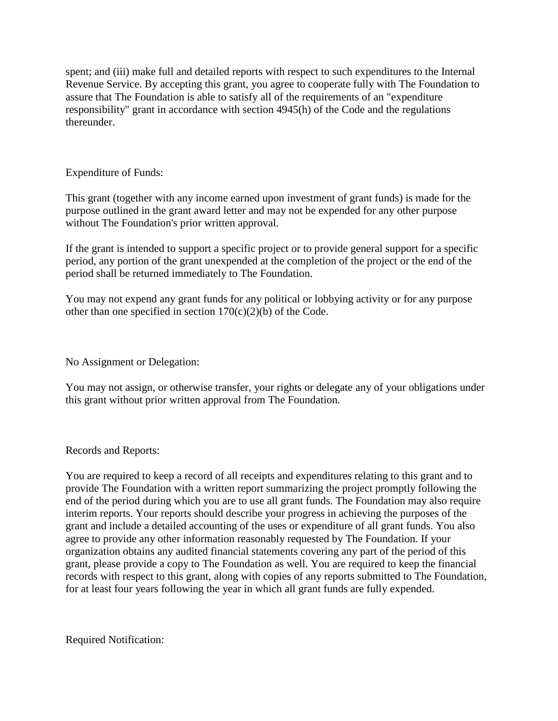spent; and (iii) make full and detailed reports with respect to such expenditures to the Internal Revenue Service. By accepting this grant, you agree to cooperate fully with The Foundation to assure that The Foundation is able to satisfy all of the requirements of an "expenditure responsibility" grant in accordance with section 4945(h) of the Code and the regulations thereunder.

#### Expenditure of Funds:

This grant (together with any income earned upon investment of grant funds) is made for the purpose outlined in the grant award letter and may not be expended for any other purpose without The Foundation's prior written approval.

If the grant is intended to support a specific project or to provide general support for a specific period, any portion of the grant unexpended at the completion of the project or the end of the period shall be returned immediately to The Foundation.

You may not expend any grant funds for any political or lobbying activity or for any purpose other than one specified in section 170(c)(2)(b) of the Code.

No Assignment or Delegation:

You may not assign, or otherwise transfer, your rights or delegate any of your obligations under this grant without prior written approval from The Foundation.

#### Records and Reports:

You are required to keep a record of all receipts and expenditures relating to this grant and to provide The Foundation with a written report summarizing the project promptly following the end of the period during which you are to use all grant funds. The Foundation may also require interim reports. Your reports should describe your progress in achieving the purposes of the grant and include a detailed accounting of the uses or expenditure of all grant funds. You also agree to provide any other information reasonably requested by The Foundation. If your organization obtains any audited financial statements covering any part of the period of this grant, please provide a copy to The Foundation as well. You are required to keep the financial records with respect to this grant, along with copies of any reports submitted to The Foundation, for at least four years following the year in which all grant funds are fully expended.

Required Notification: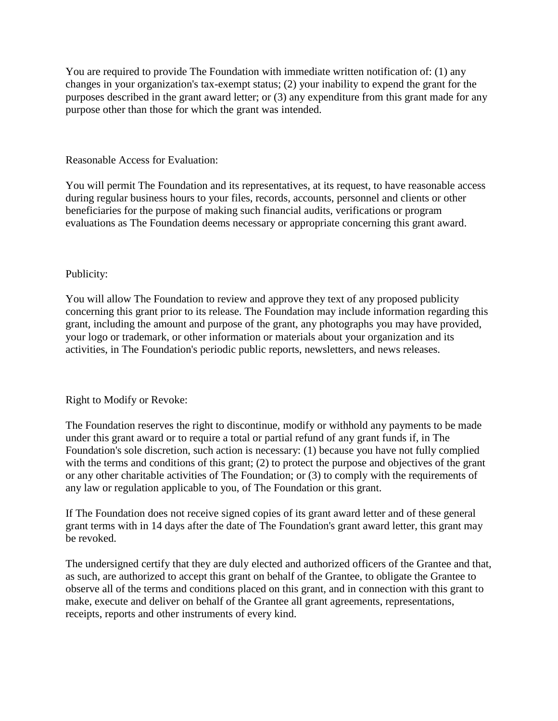You are required to provide The Foundation with immediate written notification of: (1) any changes in your organization's tax-exempt status; (2) your inability to expend the grant for the purposes described in the grant award letter; or (3) any expenditure from this grant made for any purpose other than those for which the grant was intended.

Reasonable Access for Evaluation:

You will permit The Foundation and its representatives, at its request, to have reasonable access during regular business hours to your files, records, accounts, personnel and clients or other beneficiaries for the purpose of making such financial audits, verifications or program evaluations as The Foundation deems necessary or appropriate concerning this grant award.

#### Publicity:

You will allow The Foundation to review and approve they text of any proposed publicity concerning this grant prior to its release. The Foundation may include information regarding this grant, including the amount and purpose of the grant, any photographs you may have provided, your logo or trademark, or other information or materials about your organization and its activities, in The Foundation's periodic public reports, newsletters, and news releases.

#### Right to Modify or Revoke:

The Foundation reserves the right to discontinue, modify or withhold any payments to be made under this grant award or to require a total or partial refund of any grant funds if, in The Foundation's sole discretion, such action is necessary: (1) because you have not fully complied with the terms and conditions of this grant; (2) to protect the purpose and objectives of the grant or any other charitable activities of The Foundation; or (3) to comply with the requirements of any law or regulation applicable to you, of The Foundation or this grant.

If The Foundation does not receive signed copies of its grant award letter and of these general grant terms with in 14 days after the date of The Foundation's grant award letter, this grant may be revoked.

The undersigned certify that they are duly elected and authorized officers of the Grantee and that, as such, are authorized to accept this grant on behalf of the Grantee, to obligate the Grantee to observe all of the terms and conditions placed on this grant, and in connection with this grant to make, execute and deliver on behalf of the Grantee all grant agreements, representations, receipts, reports and other instruments of every kind.